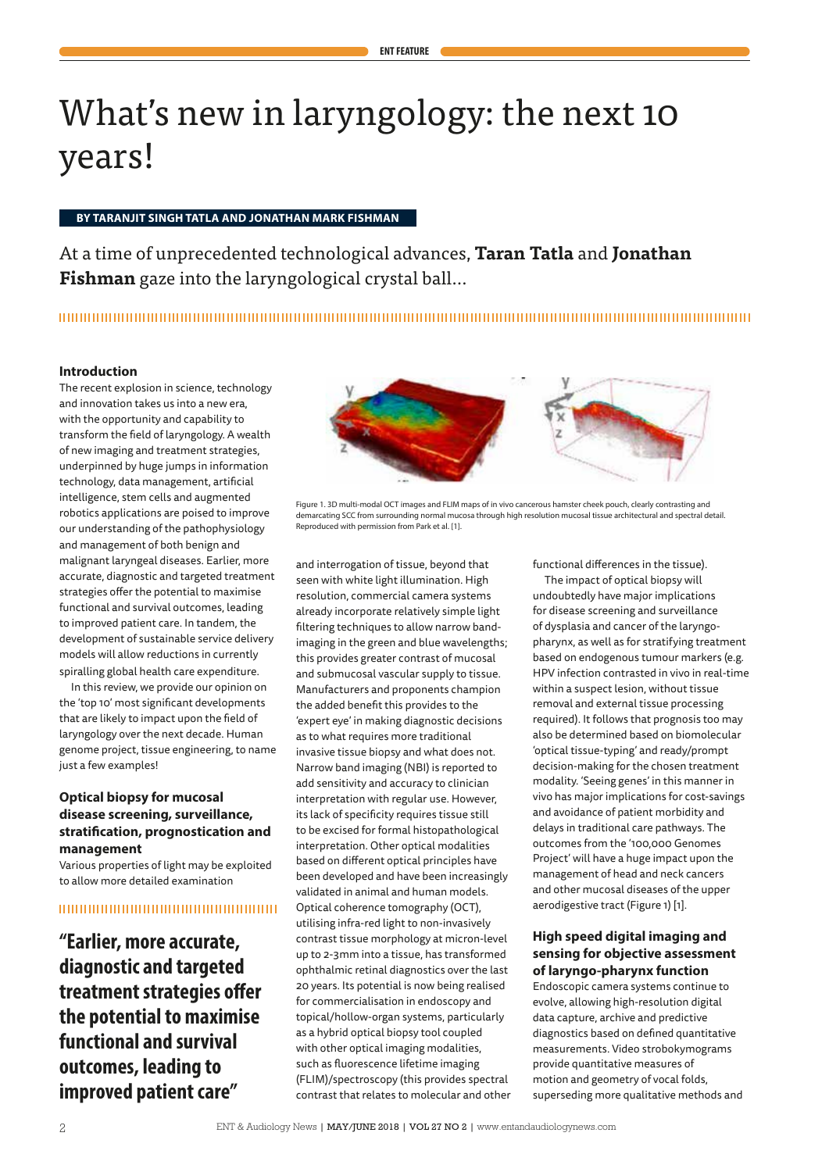# What's new in laryngology: the next 10 years!

#### **BY TARANJIT SINGH TATLA AND JONATHAN MARK FISHMAN**

At a time of unprecedented technological advances, **Taran Tatla** and **Jonathan Fishman** gaze into the laryngological crystal ball…

## 

#### **Introduction**

The recent explosion in science, technology and innovation takes us into a new era, with the opportunity and capability to transform the field of laryngology. A wealth of new imaging and treatment strategies, underpinned by huge jumps in information technology, data management, artificial intelligence, stem cells and augmented robotics applications are poised to improve our understanding of the pathophysiology and management of both benign and malignant laryngeal diseases. Earlier, more accurate, diagnostic and targeted treatment strategies offer the potential to maximise functional and survival outcomes, leading to improved patient care. In tandem, the development of sustainable service delivery models will allow reductions in currently spiralling global health care expenditure.

In this review, we provide our opinion on the 'top 10' most significant developments that are likely to impact upon the field of laryngology over the next decade. Human genome project, tissue engineering, to name just a few examples!

# **Optical biopsy for mucosal disease screening, surveillance, stratification, prognostication and management**

Various properties of light may be exploited to allow more detailed examination

## 

**"Earlier, more accurate, diagnostic and targeted treatment strategies offer the potential to maximise functional and survival outcomes, leading to improved patient care"**



Figure 1. 3D multi-modal OCT images and FLIM maps of in vivo cancerous hamster cheek pouch, clearly contrasting and demarcating SCC from surrounding normal mucosa through high resolution mucosal tissue architectural and spectral detail. Reproduced with permission from Park et al. [1].

and interrogation of tissue, beyond that seen with white light illumination. High resolution, commercial camera systems already incorporate relatively simple light filtering techniques to allow narrow bandimaging in the green and blue wavelengths; this provides greater contrast of mucosal and submucosal vascular supply to tissue. Manufacturers and proponents champion the added benefit this provides to the 'expert eye' in making diagnostic decisions as to what requires more traditional invasive tissue biopsy and what does not. Narrow band imaging (NBI) is reported to add sensitivity and accuracy to clinician interpretation with regular use. However, its lack of specificity requires tissue still to be excised for formal histopathological interpretation. Other optical modalities based on different optical principles have been developed and have been increasingly validated in animal and human models. Optical coherence tomography (OCT), utilising infra-red light to non-invasively contrast tissue morphology at micron-level up to 2-3mm into a tissue, has transformed ophthalmic retinal diagnostics over the last 20 years. Its potential is now being realised for commercialisation in endoscopy and topical/hollow-organ systems, particularly as a hybrid optical biopsy tool coupled with other optical imaging modalities, such as fluorescence lifetime imaging (FLIM)/spectroscopy (this provides spectral contrast that relates to molecular and other functional differences in the tissue). The impact of optical biopsy will undoubtedly have major implications for disease screening and surveillance of dysplasia and cancer of the laryngopharynx, as well as for stratifying treatment based on endogenous tumour markers (e.g. HPV infection contrasted in vivo in real-time within a suspect lesion, without tissue removal and external tissue processing required). It follows that prognosis too may also be determined based on biomolecular 'optical tissue-typing' and ready/prompt decision-making for the chosen treatment modality. 'Seeing genes' in this manner in vivo has major implications for cost-savings and avoidance of patient morbidity and delays in traditional care pathways. The outcomes from the '100,000 Genomes Project' will have a huge impact upon the management of head and neck cancers and other mucosal diseases of the upper aerodigestive tract (Figure 1) [1].

## **High speed digital imaging and sensing for objective assessment of laryngo-pharynx function**

Endoscopic camera systems continue to evolve, allowing high-resolution digital data capture, archive and predictive diagnostics based on defined quantitative measurements. Video strobokymograms provide quantitative measures of motion and geometry of vocal folds, superseding more qualitative methods and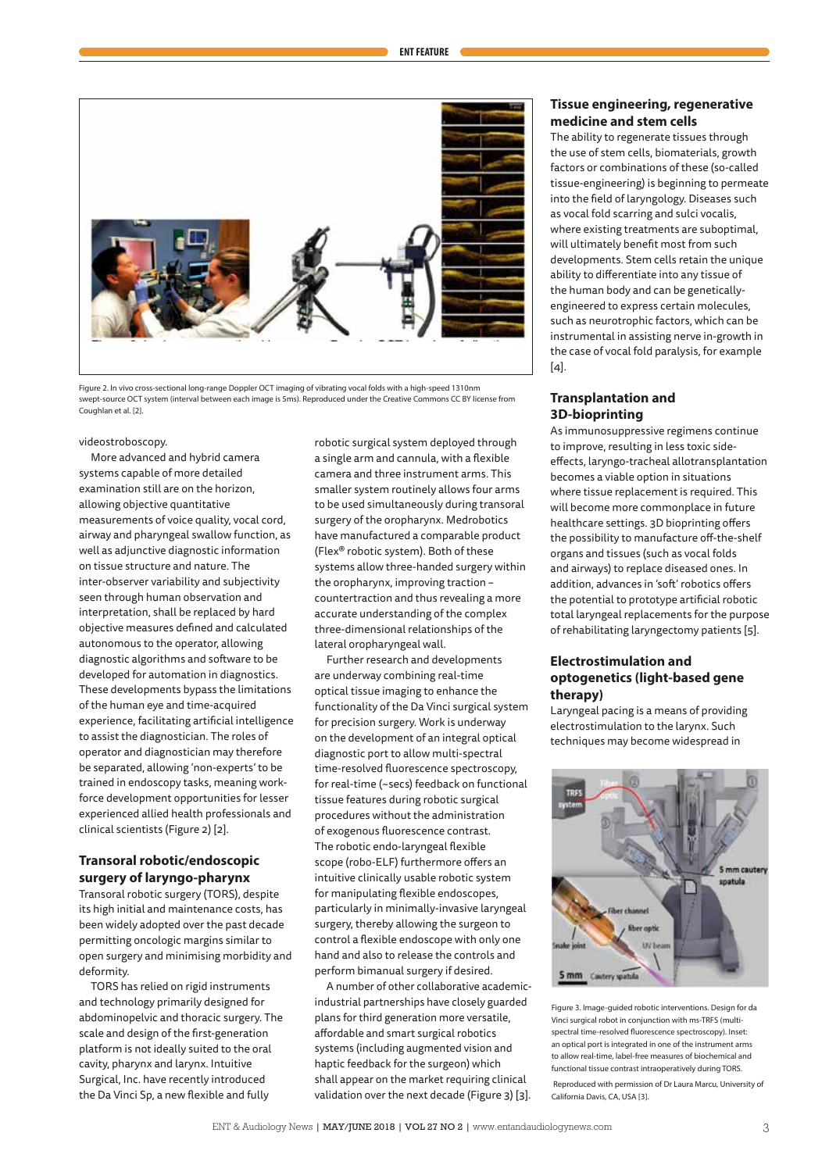

Figure 2. In vivo cross-sectional long-range Doppler OCT imaging of vibrating vocal folds with a high-speed 1310nm swept-source OCT system (interval between each image is 5ms). Reproduced under the Creative Commons CC BY license from Coughlan et al. [2].

videostroboscopy.

More advanced and hybrid camera systems capable of more detailed examination still are on the horizon, allowing objective quantitative measurements of voice quality, vocal cord, airway and pharyngeal swallow function, as well as adjunctive diagnostic information on tissue structure and nature. The inter-observer variability and subjectivity seen through human observation and interpretation, shall be replaced by hard objective measures defined and calculated autonomous to the operator, allowing diagnostic algorithms and software to be developed for automation in diagnostics. These developments bypass the limitations of the human eye and time-acquired experience, facilitating artificial intelligence to assist the diagnostician. The roles of operator and diagnostician may therefore be separated, allowing 'non-experts' to be trained in endoscopy tasks, meaning workforce development opportunities for lesser experienced allied health professionals and clinical scientists (Figure 2) [2].

# **Transoral robotic/endoscopic surgery of laryngo-pharynx**

Transoral robotic surgery (TORS), despite its high initial and maintenance costs, has been widely adopted over the past decade permitting oncologic margins similar to open surgery and minimising morbidity and deformity.

TORS has relied on rigid instruments and technology primarily designed for abdominopelvic and thoracic surgery. The scale and design of the first-generation platform is not ideally suited to the oral cavity, pharynx and larynx. Intuitive Surgical, Inc. have recently introduced the Da Vinci Sp, a new flexible and fully

robotic surgical system deployed through a single arm and cannula, with a flexible camera and three instrument arms. This smaller system routinely allows four arms to be used simultaneously during transoral surgery of the oropharynx. Medrobotics have manufactured a comparable product (Flex® robotic system). Both of these systems allow three-handed surgery within the oropharynx, improving traction – countertraction and thus revealing a more accurate understanding of the complex three-dimensional relationships of the lateral oropharyngeal wall.

Further research and developments are underway combining real-time optical tissue imaging to enhance the functionality of the Da Vinci surgical system for precision surgery. Work is underway on the development of an integral optical diagnostic port to allow multi-spectral time-resolved fluorescence spectroscopy, for real-time (~secs) feedback on functional tissue features during robotic surgical procedures without the administration of exogenous fluorescence contrast. The robotic endo-laryngeal flexible scope (robo-ELF) furthermore offers an intuitive clinically usable robotic system for manipulating flexible endoscopes, particularly in minimally-invasive laryngeal surgery, thereby allowing the surgeon to control a flexible endoscope with only one hand and also to release the controls and perform bimanual surgery if desired.

A number of other collaborative academicindustrial partnerships have closely guarded plans for third generation more versatile, affordable and smart surgical robotics systems (including augmented vision and haptic feedback for the surgeon) which shall appear on the market requiring clinical validation over the next decade (Figure 3) [3].

## **Tissue engineering, regenerative medicine and stem cells**

The ability to regenerate tissues through the use of stem cells, biomaterials, growth factors or combinations of these (so-called tissue-engineering) is beginning to permeate into the field of laryngology. Diseases such as vocal fold scarring and sulci vocalis, where existing treatments are suboptimal, will ultimately benefit most from such developments. Stem cells retain the unique ability to differentiate into any tissue of the human body and can be geneticallyengineered to express certain molecules, such as neurotrophic factors, which can be instrumental in assisting nerve in-growth in the case of vocal fold paralysis, for example [4].

#### **Transplantation and 3D-bioprinting**

As immunosuppressive regimens continue to improve, resulting in less toxic sideeffects, laryngo-tracheal allotransplantation becomes a viable option in situations where tissue replacement is required. This will become more commonplace in future healthcare settings. 3D bioprinting offers the possibility to manufacture off-the-shelf organs and tissues (such as vocal folds and airways) to replace diseased ones. In addition, advances in 'soft' robotics offers the potential to prototype artificial robotic total laryngeal replacements for the purpose of rehabilitating laryngectomy patients [5].

#### **Electrostimulation and optogenetics (light-based gene therapy)**

Laryngeal pacing is a means of providing electrostimulation to the larynx. Such techniques may become widespread in



Figure 3. Image-guided robotic interventions. Design for da Vinci surgical robot in conjunction with ms-TRFS (multispectral time-resolved fluorescence spectroscopy). Inset: an optical port is integrated in one of the instrument arms to allow real-time, label-free measures of biochemical and functional tissue contrast intraoperatively during TORS. Reproduced with permission of Dr Laura Marcu, University of California Davis, CA, USA [3].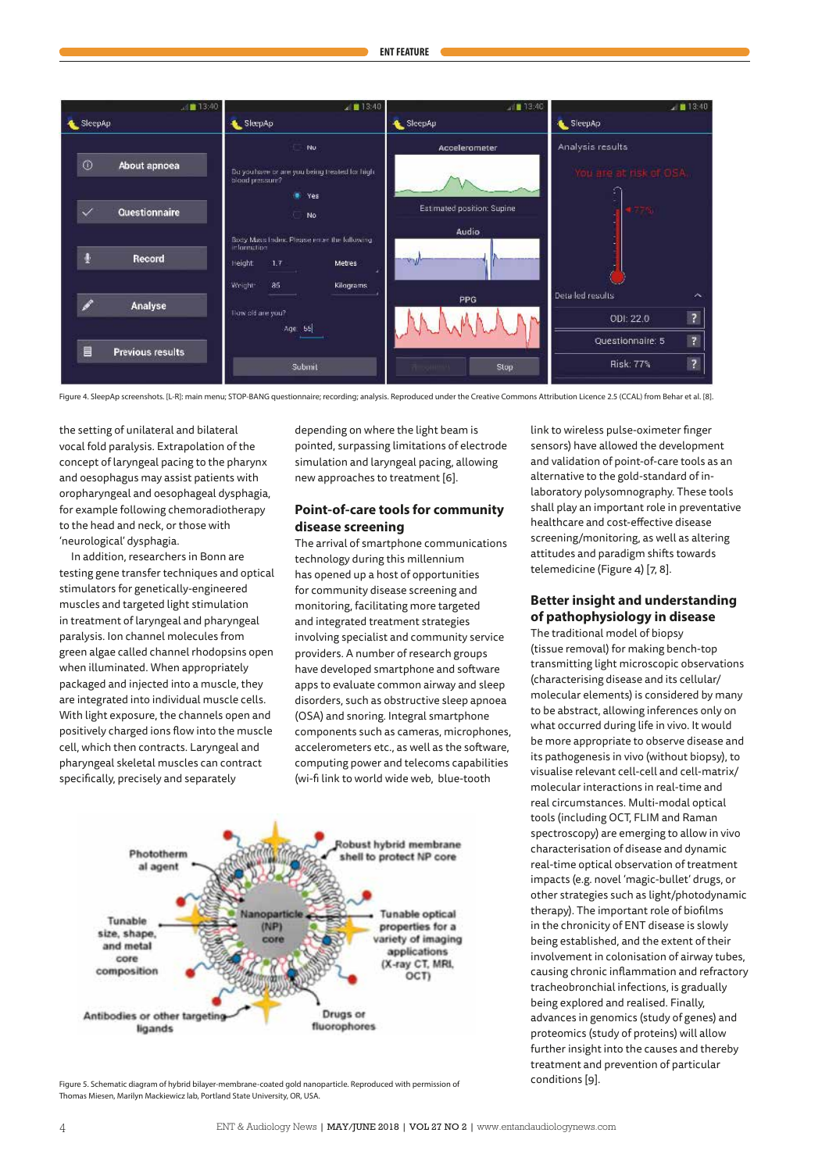

Figure 4. SleepAp screenshots. [L-R]: main menu; STOP-BANG questionnaire; recording; analysis. Reproduced under the Creative Commons Attribution Licence 2.5 (CCAL) from Behar et al. [8].

the setting of unilateral and bilateral vocal fold paralysis. Extrapolation of the concept of laryngeal pacing to the pharynx and oesophagus may assist patients with oropharyngeal and oesophageal dysphagia, for example following chemoradiotherapy to the head and neck, or those with 'neurological' dysphagia.

In addition, researchers in Bonn are testing gene transfer techniques and optical stimulators for genetically-engineered muscles and targeted light stimulation in treatment of laryngeal and pharyngeal paralysis. Ion channel molecules from green algae called channel rhodopsins open when illuminated. When appropriately packaged and injected into a muscle, they are integrated into individual muscle cells. With light exposure, the channels open and positively charged ions flow into the muscle cell, which then contracts. Laryngeal and pharyngeal skeletal muscles can contract specifically, precisely and separately

depending on where the light beam is pointed, surpassing limitations of electrode simulation and laryngeal pacing, allowing new approaches to treatment [6].

# **Point-of-care tools for community disease screening**

The arrival of smartphone communications technology during this millennium has opened up a host of opportunities for community disease screening and monitoring, facilitating more targeted and integrated treatment strategies involving specialist and community service providers. A number of research groups have developed smartphone and software apps to evaluate common airway and sleep disorders, such as obstructive sleep apnoea (OSA) and snoring. Integral smartphone components such as cameras, microphones, accelerometers etc., as well as the software, computing power and telecoms capabilities (wi-fi link to world wide web, blue-tooth



Figure 5. Schematic diagram of hybrid bilayer-membrane-coated gold nanoparticle. Reproduced with permission of Thomas Miesen, Marilyn Mackiewicz lab, Portland State University, OR, USA.

link to wireless pulse-oximeter finger sensors) have allowed the development and validation of point-of-care tools as an alternative to the gold-standard of inlaboratory polysomnography. These tools shall play an important role in preventative healthcare and cost-effective disease screening/monitoring, as well as altering attitudes and paradigm shifts towards telemedicine (Figure 4) [7, 8].

# **Better insight and understanding of pathophysiology in disease**

The traditional model of biopsy (tissue removal) for making bench-top transmitting light microscopic observations (characterising disease and its cellular/ molecular elements) is considered by many to be abstract, allowing inferences only on what occurred during life in vivo. It would be more appropriate to observe disease and its pathogenesis in vivo (without biopsy), to visualise relevant cell-cell and cell-matrix/ molecular interactions in real-time and real circumstances. Multi-modal optical tools (including OCT, FLIM and Raman spectroscopy) are emerging to allow in vivo characterisation of disease and dynamic real-time optical observation of treatment impacts (e.g. novel 'magic-bullet' drugs, or other strategies such as light/photodynamic therapy). The important role of biofilms in the chronicity of ENT disease is slowly being established, and the extent of their involvement in colonisation of airway tubes, causing chronic inflammation and refractory tracheobronchial infections, is gradually being explored and realised. Finally, advances in genomics (study of genes) and proteomics (study of proteins) will allow further insight into the causes and thereby treatment and prevention of particular conditions [9].